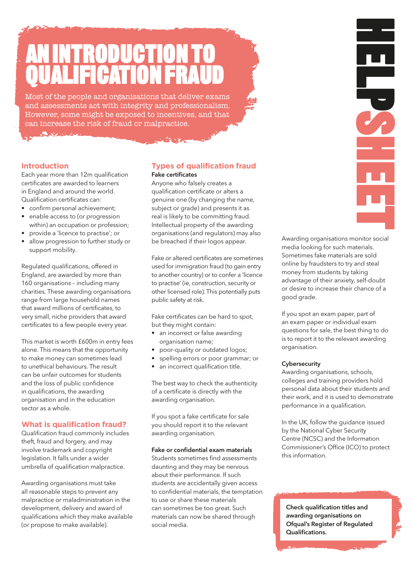# RODI QUALIFICATION FRAUD.

Most of the people and organisations that deliver exams and assessments act with integrity and professionalism. However, some might be exposed to incentives, and that can increase the risk of fraud or malpractice.

#### **Introduction.**

Each year more than 12m qualification certificates are awarded to learners in England and around the world. Qualification certificates can:

- confirm personal achievement;
- enable access to (or progression within) an occupation or profession;
- provide a 'licence to practise'; or
- allow progression to further study or support mobility.

Regulated qualifications, offered in England, are awarded by more than 160 organisations – including many charities. These awarding organisations range from large household names that award millions of certificates, to very small, niche providers that award certificates to a few people every year.

This market is worth £600m in entry fees alone. This means that the opportunity to make money can sometimes lead to unethical behaviours. The result can be unfair outcomes for students and the loss of public confidence in qualifications, the awarding organisation and in the education sector as a whole.

#### **What is qualification fraud?**

Qualification fraud commonly includes theft, fraud and forgery, and may involve trademark and copyright legislation. It falls under a wider umbrella of qualification malpractice.

Awarding organisations must take all reasonable steps to prevent any malpractice or maladministration in the development, delivery and award of qualifications which they make available (or propose to make available).

#### **Types of qualification fraud.** Fake certificates.

Anyone who falsely creates a qualification certificate or alters a genuine one (by changing the name, subject or grade) and presents it as real is likely to be committing fraud. Intellectual property of the awarding organisations (and regulators) may also be breached if their logos appear.

Fake or altered certificates are sometimes used for immigration fraud (to gain entry to another country) or to confer a 'licence to practise' (ie, construction, security or other licensed role). This potentially puts public safety at risk.

Fake certificates can be hard to spot, but they might contain:

- an incorrect or false awarding organisation name;
- poor-quality or outdated logos;
- spelling errors or poor grammar; or
- an incorrect qualification title.

The best way to check the authenticity of a certificate is directly with the awarding organisation.

If you spot a fake certificate for sale you should report it to the relevant awarding organisation.

#### Fake or confidential exam materials.

Students sometimes find assessments daunting and they may be nervous about their performance. If such students are accidentally given access to confidential materials, the temptation to use or share these materials can sometimes be too great. Such materials can now be shared through social media.

Awarding organisations monitor social media looking for such materials. Sometimes fake materials are sold online by fraudsters to try and steal money from students by taking advantage of their anxiety, self-doubt or desire to increase their chance of a good grade.

HELPSHEET.<br>HELPSHEET

Ę

If you spot an exam paper, part of an exam paper or individual exam questions for sale, the best thing to do is to report it to the relevant awarding organisation.

#### **Cybersecurity**

Awarding organisations, schools, colleges and training providers hold personal data about their students and their work, and it is used to demonstrate performance in a qualification.

In the UK, follow the guidance issued by the National Cyber Security Centre (NCSC) and the Information Commissioner's Office (ICO) to protect this information.

Check qualification titles and awarding organisations on Ofqual's [Register of Regulated](https://register.ofqual.gov.uk)  [Qualifications.](https://register.ofqual.gov.uk)